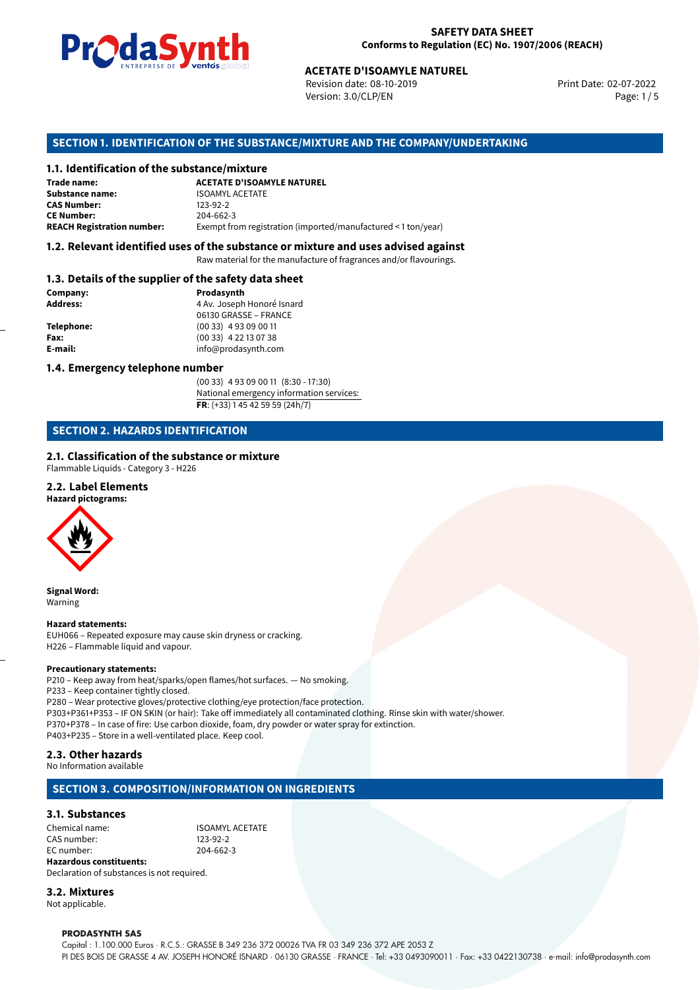

Revision date: 08-10-2019 Version: 3.0/CLP/EN Page: 1 / 5

Print Date: 02-07-2022

# **ACETATE D'ISOAMYLE NATUREL<br>
Revision date: 08-10-2019<br>
Version: 3.0/CLP/EN<br>
<b>OF THE SUBSTANCE/MIXTURE AND THE COMPANY/UN<br>
tance/mixture<br>
ACETATE D'ISOAMYLE NATUREL SECTION 1. IDENTIFICATION OF THE SUBSTANCE/MIXTURE AND THE COMPANY/UNDERTAKING**

#### **1.1. Identification of the substance/mixture**

| Trade name:                       | <b>ACETATE D'ISOAMYLE NATUREL</b>                             |
|-----------------------------------|---------------------------------------------------------------|
| Substance name:                   | <b>ISOAMYL ACETATE</b>                                        |
| <b>CAS Number:</b>                | 123-92-2                                                      |
| <b>CE Number:</b>                 | 204-662-3                                                     |
| <b>REACH Registration number:</b> | Exempt from registration (imported/manufactured < 1 ton/year) |

#### **1.2. Relevant identified uses of the substance or mixture and uses advised against**

Raw material for the manufacture of fragrances and/or flavourings.

#### **1.3. Details of the supplier of the safety data sheet**

| Company:          | Prodasynth                 |  |
|-------------------|----------------------------|--|
| <b>Address:</b>   | 4 Av. Joseph Honoré Isnard |  |
|                   | 06130 GRASSE - FRANCE      |  |
| <b>Telephone:</b> | $(0033)$ 4 93 09 00 11     |  |
| Fax:              | $(0033)$ 4 22 13 07 38     |  |
| E-mail:           | info@prodasynth.com        |  |
|                   |                            |  |

#### **1.4. Emergency telephone number**

(00 33) 4 93 09 00 11 (8:30 - 17:30) National emergency information services: **FR**: (+33) 1 45 42 59 59 (24h/7)

#### **SECTION 2. HAZARDS IDENTIFICATION**

#### **2.1. Classification of the substance or mixture**

Flammable Liquids - Category 3 - H226

#### **2.2. Label Elements**

**Hazard pictograms:**



**Signal Word:** Warning

#### **Hazard statements:**

EUH066 – Repeated exposure may cause skin dryness or cracking. H226 – Flammable liquid and vapour.

#### **Precautionary statements:**

P210 – Keep away from heat/sparks/open flames/hot surfaces. — No smoking. P233 – Keep container tightly closed. P280 – Wear protective gloves/protective clothing/eye protection/face protection. P303+P361+P353 – IF ON SKIN (or hair): Take off immediately all contaminated clothing. Rinse skin with water/shower. P370+P378 – In case of fire: Use carbon dioxide, foam, dry powder or water spray for extinction.

P403+P235 – Store in a well-ventilated place. Keep cool.

#### **2.3. Other hazards**

No Information available

#### **SECTION 3. COMPOSITION/INFORMATION ON INGREDIENTS**

#### **3.1. Substances**

Chemical name: **ISOAMYL ACETATE** CAS number: 123-92-2 EC number: 204-662-3 **Hazardous constituents:**

Declaration of substances is not required. **3.2. Mixtures**

Not applicable.

#### **PRODASYNTH SAS**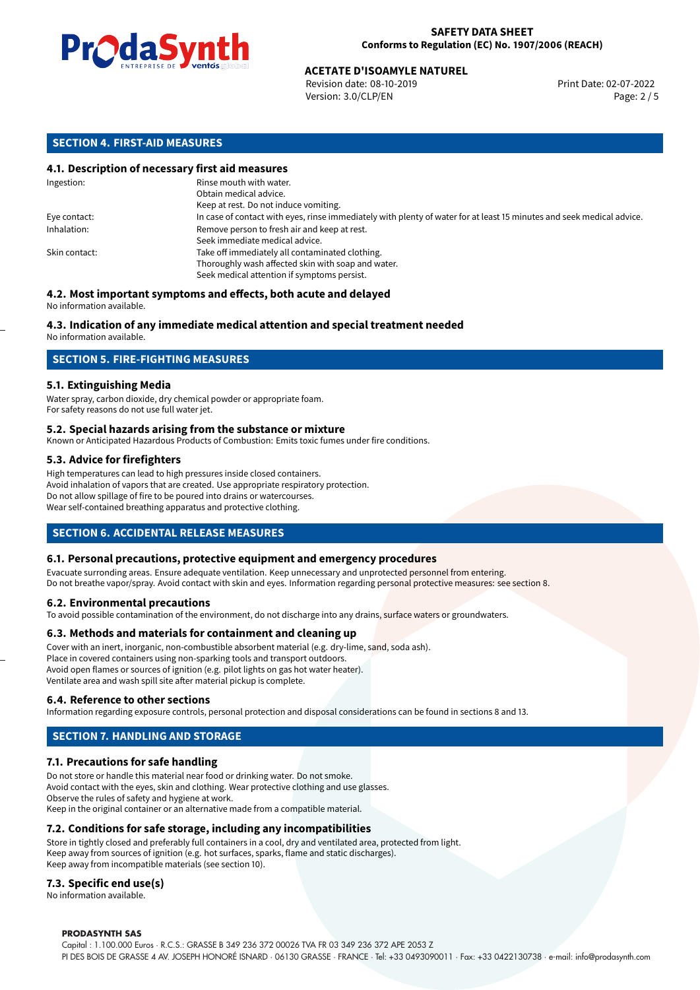

Revision date: 08-10-2019 Version: 3.0/CLP/EN Page: 2 / 5

#### **SECTION 4. FIRST-AID MEASURES**

#### **4.1. Description of necessary first aid measures**

| Ingestion:    | Rinse mouth with water.<br>Obtain medical advice.                                                                                                    |  |
|---------------|------------------------------------------------------------------------------------------------------------------------------------------------------|--|
|               | Keep at rest. Do not induce vomiting.                                                                                                                |  |
| Eye contact:  | In case of contact with eyes, rinse immediately with plenty of water for at least 15 minutes and seek medical advice.                                |  |
| Inhalation:   | Remove person to fresh air and keep at rest.<br>Seek immediate medical advice.                                                                       |  |
| Skin contact: | Take off immediately all contaminated clothing.<br>Thoroughly wash affected skin with soap and water.<br>Seek medical attention if symptoms persist. |  |

#### **4.2. Most important symptoms and effects, both acute and delayed** No information available.

#### **4.3. Indication of any immediate medical attention and special treatment needed**

No information available.

#### **SECTION 5. FIRE-FIGHTING MEASURES**

#### **5.1. Extinguishing Media**

Water spray, carbon dioxide, dry chemical powder or appropriate foam. For safety reasons do not use full water jet.

#### **5.2. Special hazards arising from the substance or mixture**

Known or Anticipated Hazardous Products of Combustion: Emits toxic fumes under fire conditions.

#### **5.3. Advice for firefighters**

High temperatures can lead to high pressures inside closed containers. Avoid inhalation of vapors that are created. Use appropriate respiratory protection. Do not allow spillage of fire to be poured into drains or watercourses. Wear self-contained breathing apparatus and protective clothing.

#### **SECTION 6. ACCIDENTAL RELEASE MEASURES**

#### **6.1. Personal precautions, protective equipment and emergency procedures**

Evacuate surronding areas. Ensure adequate ventilation. Keep unnecessary and unprotected personnel from entering. Do not breathe vapor/spray. Avoid contact with skin and eyes. Information regarding personal protective measures: see section 8.

#### **6.2. Environmental precautions**

To avoid possible contamination of the environment, do not discharge into any drains, surface waters or groundwaters.

#### **6.3. Methods and materials for containment and cleaning up**

Cover with an inert, inorganic, non-combustible absorbent material (e.g. dry-lime, sand, soda ash). Place in covered containers using non-sparking tools and transport outdoors. Avoid open flames or sources of ignition (e.g. pilot lights on gas hot water heater). Ventilate area and wash spill site after material pickup is complete.

#### **6.4. Reference to other sections**

Information regarding exposure controls, personal protection and disposal considerations can be found in sections 8 and 13.

### **SECTION 7. HANDLING AND STORAGE**

#### **7.1. Precautions for safe handling**

Do not store or handle this material near food or drinking water. Do not smoke. Avoid contact with the eyes, skin and clothing. Wear protective clothing and use glasses. Observe the rules of safety and hygiene at work. Keep in the original container or an alternative made from a compatible material.

#### **7.2. Conditions for safe storage, including any incompatibilities**

Store in tightly closed and preferably full containers in a cool, dry and ventilated area, protected from light. Keep away from sources of ignition (e.g. hot surfaces, sparks, flame and static discharges). Keep away from incompatible materials (see section 10).

#### **7.3. Specific end use(s)**

No information available.

#### **PRODASYNTH SAS**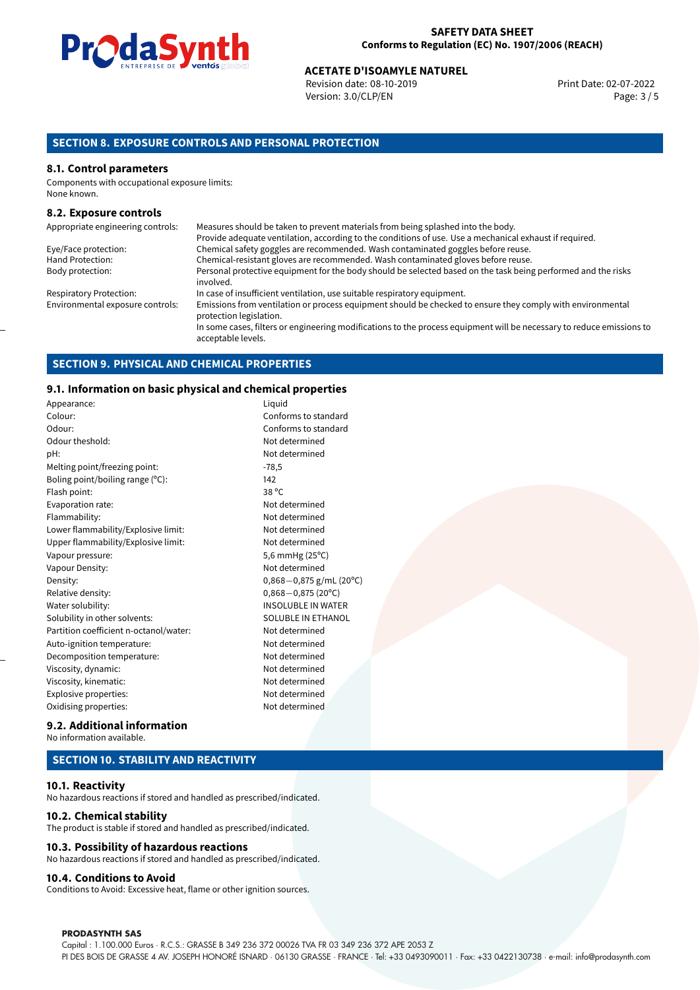

Revision date: 08-10-2019 Version: 3.0/CLP/EN Page: 3 / 5

#### **SECTION 8. EXPOSURE CONTROLS AND PERSONAL PROTECTION**

#### **8.1. Control parameters**

Components with occupational exposure limits: None known.

#### **8.2. Exposure controls**

| Appropriate engineering controls: | Measures should be taken to prevent materials from being splashed into the body.                                                            |
|-----------------------------------|---------------------------------------------------------------------------------------------------------------------------------------------|
|                                   | Provide adequate ventilation, according to the conditions of use. Use a mechanical exhaust if required.                                     |
| Eye/Face protection:              | Chemical safety goggles are recommended. Wash contaminated goggles before reuse.                                                            |
| Hand Protection:                  | Chemical-resistant gloves are recommended. Wash contaminated gloves before reuse.                                                           |
| Body protection:                  | Personal protective equipment for the body should be selected based on the task being performed and the risks<br>involved.                  |
| <b>Respiratory Protection:</b>    | In case of insufficient ventilation, use suitable respiratory equipment.                                                                    |
| Environmental exposure controls:  | Emissions from ventilation or process equipment should be checked to ensure they comply with environmental<br>protection legislation.       |
|                                   | In some cases, filters or engineering modifications to the process equipment will be necessary to reduce emissions to<br>acceptable levels. |

#### **SECTION 9. PHYSICAL AND CHEMICAL PROPERTIES**

#### **9.1. Information on basic physical and chemical properties**

| Appearance:                            | Liquid       |
|----------------------------------------|--------------|
| Colour:                                | Confo        |
| Odour:                                 | Confo        |
| Odour theshold:                        | Not de       |
| pH:                                    | Not de       |
| Melting point/freezing point:          | $-78,5$      |
| Boling point/boiling range (°C):       | 142          |
| Flash point:                           | 38 °C        |
| Evaporation rate:                      | Not de       |
| Flammability:                          | Not de       |
| Lower flammability/Explosive limit:    | Not de       |
| Upper flammability/Explosive limit:    | Not de       |
| Vapour pressure:                       | 5,6 mr       |
| Vapour Density:                        | Not de       |
| Density:                               | 0,868-       |
| Relative density:                      | 0,868-       |
| Water solubility:                      | <b>INSOL</b> |
| Solubility in other solvents:          | <b>SOLUE</b> |
| Partition coefficient n-octanol/water: | Not de       |
| Auto-ignition temperature:             | Not de       |
| Decomposition temperature:             | Not de       |
| Viscosity, dynamic:                    | Not de       |
| Viscosity, kinematic:                  | Not de       |
| Explosive properties:                  | Not de       |
| Oxidising properties:                  | Not de       |

## Not determined Not determined Not determined Not determined Not determined Not determined  $5,6$  mmHg (25 $^{\circ}$ C) Not determined Density: 0,868*−*0,875 g/mL (20ºC) Relative density: 0,868*−*0,875 (20ºC) INSOLUBLE IN WATER SOLUBLE IN ETHANOL Not determined Not determined Not determined Not determined Not determined Not determined Not determined

Conforms to standard Conforms to standard

#### **9.2. Additional information** No information available.

#### **SECTION 10. STABILITY AND REACTIVITY**

#### **10.1. Reactivity**

No hazardous reactions if stored and handled as prescribed/indicated.

#### **10.2. Chemical stability**

The product is stable if stored and handled as prescribed/indicated.

#### **10.3. Possibility of hazardous reactions**

No hazardous reactions if stored and handled as prescribed/indicated.

#### **10.4. Conditions to Avoid**

Conditions to Avoid: Excessive heat, flame or other ignition sources.

#### **PRODASYNTH SAS**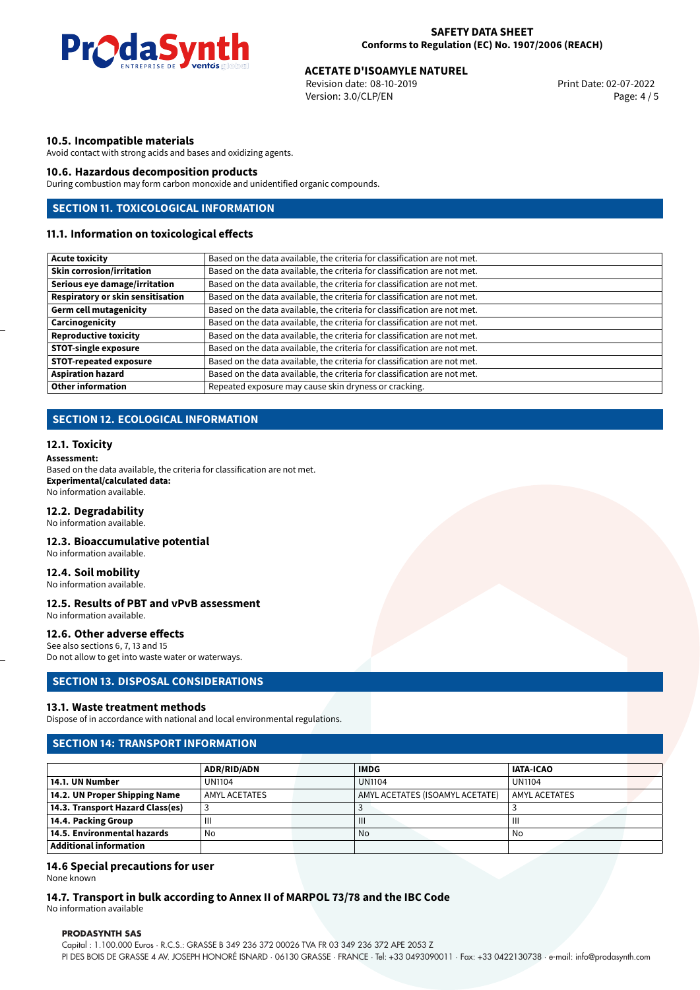

Revision date: 08-10-2019 Version: 3.0/CLP/EN Page: 4 / 5

#### **10.5. Incompatible materials**

Avoid contact with strong acids and bases and oxidizing agents.

#### **10.6. Hazardous decomposition products**

During combustion may form carbon monoxide and unidentified organic compounds.

#### **SECTION 11. TOXICOLOGICAL INFORMATION**

#### **11.1. Information on toxicological effects**

| <b>Acute toxicity</b>             | Based on the data available, the criteria for classification are not met. |  |  |  |
|-----------------------------------|---------------------------------------------------------------------------|--|--|--|
| <b>Skin corrosion/irritation</b>  | Based on the data available, the criteria for classification are not met. |  |  |  |
| Serious eye damage/irritation     | Based on the data available, the criteria for classification are not met. |  |  |  |
| Respiratory or skin sensitisation | Based on the data available, the criteria for classification are not met. |  |  |  |
| <b>Germ cell mutagenicity</b>     | Based on the data available, the criteria for classification are not met. |  |  |  |
| Carcinogenicity                   | Based on the data available, the criteria for classification are not met. |  |  |  |
| <b>Reproductive toxicity</b>      | Based on the data available, the criteria for classification are not met. |  |  |  |
| <b>STOT-single exposure</b>       | Based on the data available, the criteria for classification are not met. |  |  |  |
| <b>STOT-repeated exposure</b>     | Based on the data available, the criteria for classification are not met. |  |  |  |
| <b>Aspiration hazard</b>          | Based on the data available, the criteria for classification are not met. |  |  |  |
| <b>Other information</b>          | Repeated exposure may cause skin dryness or cracking.                     |  |  |  |

#### **SECTION 12. ECOLOGICAL INFORMATION**

#### **12.1. Toxicity**

**Assessment:**

Based on the data available, the criteria for classification are not met. **Experimental/calculated data:** No information available.

#### **12.2. Degradability**

No information available.

#### **12.3. Bioaccumulative potential** No information available.

**12.4. Soil mobility** No information available.

#### **12.5. Results of PBT and vPvB assessment** No information available.

#### **12.6. Other adverse effects**

See also sections 6, 7, 13 and 15 Do not allow to get into waste water or waterways.

#### **SECTION 13. DISPOSAL CONSIDERATIONS**

#### **13.1. Waste treatment methods**

Dispose of in accordance with national and local environmental regulations.

#### **SECTION 14: TRANSPORT INFORMATION**

|                                  | <b>ADR/RID/ADN</b> | <b>IMDG</b>                     | <b>IATA-ICAO</b> |
|----------------------------------|--------------------|---------------------------------|------------------|
| 14.1. UN Number                  | UN1104             | <b>UN1104</b>                   | <b>UN1104</b>    |
| 14.2. UN Proper Shipping Name    | AMYL ACETATES      | AMYL ACETATES (ISOAMYL ACETATE) | LAMYL ACETATES   |
| 14.3. Transport Hazard Class(es) |                    |                                 |                  |
| 14.4. Packing Group              | Ш                  | $\mathbf{III}$                  | ш                |
| 14.5. Environmental hazards      | No                 | No                              | No               |
| Additional information           |                    |                                 |                  |

#### **14.6 Special precautions for user**

None known

**14.7. Transport in bulk according to Annex II of MARPOL 73/78 and the IBC Code** No information available

**PRODASYNTH SAS**